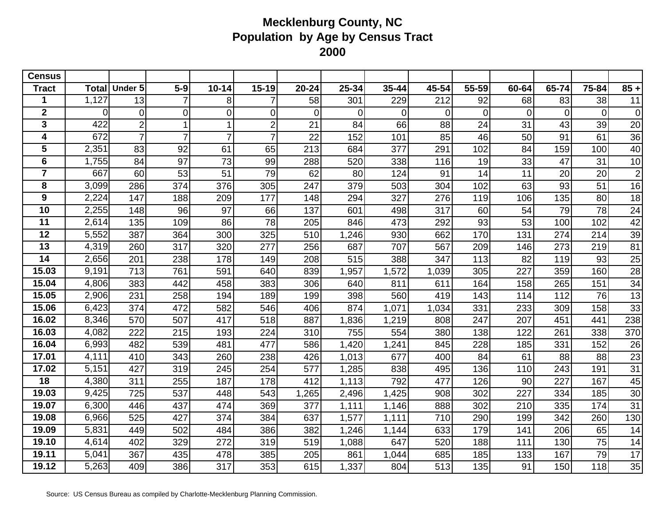| <b>Census</b>           |                |                |                |                |                |                  |       |       |       |                |                 |                |                |                         |
|-------------------------|----------------|----------------|----------------|----------------|----------------|------------------|-------|-------|-------|----------------|-----------------|----------------|----------------|-------------------------|
| <b>Tract</b>            | <b>Total</b>   | <b>Under 5</b> | $5-9$          | $10 - 14$      | $15 - 19$      | $20 - 24$        | 25-34 | 35-44 | 45-54 | 55-59          | 60-64           | 65-74          | 75-84          | $85 +$                  |
|                         | 1,127          | 13             |                | 8 <sup>1</sup> |                | 58               | 301   | 229   | 212   | 92             | 68              | 83             | 38             | 11                      |
| $\overline{\mathbf{2}}$ | $\overline{0}$ | $\overline{0}$ | $\overline{0}$ | $\overline{0}$ | $\overline{0}$ | $\mathbf 0$      | 0     | 0     | 0     | $\overline{0}$ | $\overline{0}$  | $\overline{0}$ | $\overline{0}$ | $\mathbf 0$             |
| $\overline{3}$          | 422            | $\overline{2}$ |                | 1              | $\overline{2}$ | 21               | 84    | 66    | 88    | 24             | 31              | 43             | 39             | 20                      |
| 4                       | 672            | $\overline{7}$ | $\overline{7}$ | $\overline{7}$ | $\overline{7}$ | $\overline{22}$  | 152   | 101   | 85    | 46             | 50              | 91             | 61             | 36                      |
| 5                       | 2,351          | 83             | 92             | 61             | 65             | $\overline{213}$ | 684   | 377   | 291   | 102            | 84              | 159            | 100            | 40                      |
| 6                       | 1,755          | 84             | 97             | 73             | 99             | 288              | 520   | 338   | 116   | 19             | 33              | 47             | 31             | 10                      |
| $\overline{7}$          | 667            | 60             | 53             | 51             | 79             | 62               | 80    | 124   | 91    | 14             | 11              | 20             | 20             | $\overline{\mathbf{c}}$ |
| 8                       | 3,099          | 286            | 374            | 376            | 305            | 247              | 379   | 503   | 304   | 102            | 63              | 93             | 51             | 16                      |
| 9                       | 2,224          | 147            | 188            | 209            | 177            | 148              | 294   | 327   | 276   | 119            | 106             | 135            | 80             | 18                      |
| 10                      | 2,255          | 148            | 96             | 97             | 66             | 137              | 601   | 498   | 317   | 60             | 54              | 79             | 78             | 24                      |
| 11                      | 2,614          | 135            | 109            | 86             | 78             | 205              | 846   | 473   | 292   | 93             | $\overline{53}$ | 100            | 102            | $\overline{42}$         |
| 12                      | 5,552          | 387            | 364            | 300            | 325            | 510              | 1,246 | 930   | 662   | 170            | 131             | 274            | 214            | 39                      |
| 13                      | 4,319          | 260            | 317            | 320            | 277            | 256              | 687   | 707   | 567   | 209            | 146             | 273            | 219            | 81                      |
| 14                      | 2,656          | 201            | 238            | 178            | 149            | 208              | 515   | 388   | 347   | 113            | 82              | 119            | 93             | 25                      |
| 15.03                   | 9,191          | 713            | 761            | 591            | 640            | 839              | 1,957 | 1,572 | 1,039 | 305            | 227             | 359            | 160            | 28                      |
| 15.04                   | 4,806          | 383            | 442            | 458            | 383            | 306              | 640   | 811   | 611   | 164            | 158             | 265            | 151            | 34                      |
| 15.05                   | 2,906          | 231            | 258            | 194            | 189            | 199              | 398   | 560   | 419   | 143            | 114             | 112            | 76             | 13                      |
| 15.06                   | 6,423          | 374            | 472            | 582            | 546            | 406              | 874   | 1,071 | 1,034 | 331            | 233             | 309            | 158            | 33                      |
| 16.02                   | 8,346          | 570            | 507            | 417            | 518            | 887              | 1,836 | 1,219 | 808   | 247            | 207             | 451            | 441            | 238                     |
| 16.03                   | 4,082          | 222            | 215            | 193            | 224            | 310              | 755   | 554   | 380   | 138            | 122             | 261            | 338            | 370                     |
| 16.04                   | 6,993          | 482            | 539            | 481            | 477            | 586              | 1,420 | 1,241 | 845   | 228            | 185             | 331            | 152            | 26                      |
| 17.01                   | 4,111          | 410            | 343            | 260            | 238            | 426              | 1,013 | 677   | 400   | 84             | 61              | 88             | 88             | 23                      |
| 17.02                   | 5,151          | 427            | 319            | 245            | 254            | 577              | 1,285 | 838   | 495   | 136            | 110             | 243            | 191            | 31                      |
| 18                      | 4,380          | 311            | 255            | 187            | 178            | 412              | 1,113 | 792   | 477   | 126            | 90              | 227            | 167            | 45                      |
| 19.03                   | 9,425          | 725            | 537            | 448            | 543            | 1,265            | 2,496 | 1,425 | 908   | 302            | 227             | 334            | 185            | 30                      |
| 19.07                   | 6,300          | 446            | 437            | 474            | 369            | 377              | 1,111 | 1,146 | 888   | 302            | 210             | 335            | 174            | $\overline{31}$         |
| 19.08                   | 6,966          | 525            | 427            | 374            | 384            | 637              | 1,577 | 1,111 | 710   | 290            | 199             | 342            | 260            | 130                     |
| 19.09                   | 5,831          | 449            | 502            | 484            | 386            | 382              | 1,246 | 1,144 | 633   | 179            | 141             | 206            | 65             | 14                      |
| 19.10                   | 4,614          | 402            | 329            | 272            | 319            | 519              | 1,088 | 647   | 520   | 188            | 111             | 130            | 75             | 14                      |
| 19.11                   | 5,041          | 367            | 435            | 478            | 385            | 205              | 861   | 1,044 | 685   | 185            | 133             | 167            | 79             | 17                      |
| 19.12                   | 5,263          | 409            | 386            | 317            | 353            | 615              | 1,337 | 804   | 513   | 135            | 91              | 150            | 118            | 35                      |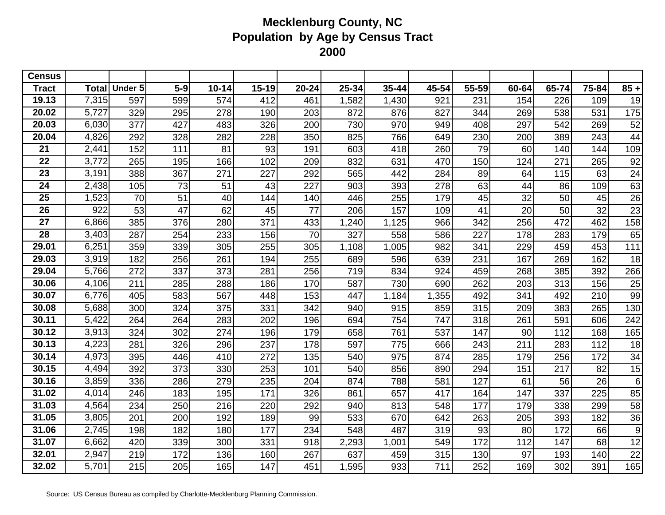| <b>Census</b>   |              |                |       |           |           |                 |       |       |       |       |       |       |       |        |
|-----------------|--------------|----------------|-------|-----------|-----------|-----------------|-------|-------|-------|-------|-------|-------|-------|--------|
| <b>Tract</b>    | <b>Total</b> | <b>Under 5</b> | $5-9$ | $10 - 14$ | $15 - 19$ | $20 - 24$       | 25-34 | 35-44 | 45-54 | 55-59 | 60-64 | 65-74 | 75-84 | $85 +$ |
| 19.13           | 7,315        | 597            | 599   | 574       | 412       | 461             | 1,582 | 1,430 | 921   | 231   | 154   | 226   | 109   | 19     |
| 20.02           | 5,727        | 329            | 295   | 278       | 190       | 203             | 872   | 876   | 827   | 344   | 269   | 538   | 531   | 175    |
| 20.03           | 6,030        | 377            | 427   | 483       | 326       | 200             | 730   | 970   | 949   | 408   | 297   | 542   | 269   | 52     |
| 20.04           | 4,826        | 292            | 328   | 282       | 228       | 350             | 825   | 766   | 649   | 230   | 200   | 389   | 243   | 44     |
| 21              | 2,441        | 152            | 111   | 81        | 93        | 191             | 603   | 418   | 260   | 79    | 60    | 140   | 144   | 109    |
| 22              | 3,772        | 265            | 195   | 166       | 102       | 209             | 832   | 631   | 470   | 150   | 124   | 271   | 265   | 92     |
| 23              | 3,191        | 388            | 367   | 271       | 227       | 292             | 565   | 442   | 284   | 89    | 64    | 115   | 63    | 24     |
| 24              | 2,438        | 105            | 73    | 51        | 43        | 227             | 903   | 393   | 278   | 63    | 44    | 86    | 109   | 63     |
| $\overline{25}$ | 1,523        | 70             | 51    | 40        | 144       | 140             | 446   | 255   | 179   | 45    | 32    | 50    | 45    | 26     |
| 26              | 922          | 53             | 47    | 62        | 45        | $\overline{77}$ | 206   | 157   | 109   | 41    | 20    | 50    | 32    | 23     |
| 27              | 6,866        | 385            | 376   | 280       | 371       | 433             | ,240  | 1,125 | 966   | 342   | 256   | 472   | 462   | 158    |
| $\overline{28}$ | 3,403        | 287            | 254   | 233       | 156       | $\overline{70}$ | 327   | 558   | 586   | 227   | 178   | 283   | 179   | 65     |
| 29.01           | 6,251        | 359            | 339   | 305       | 255       | 305             | 1,108 | 1,005 | 982   | 341   | 229   | 459   | 453   | 111    |
| 29.03           | 3,919        | 182            | 256   | 261       | 194       | 255             | 689   | 596   | 639   | 231   | 167   | 269   | 162   | 18     |
| 29.04           | 5,766        | 272            | 337   | 373       | 281       | 256             | 719   | 834   | 924   | 459   | 268   | 385   | 392   | 266    |
| 30.06           | 4,106        | 211            | 285   | 288       | 186       | 170             | 587   | 730   | 690   | 262   | 203   | 313   | 156   | 25     |
| 30.07           | 6,776        | 405            | 583   | 567       | 448       | 153             | 447   | 1,184 | 1,355 | 492   | 341   | 492   | 210   | 99     |
| 30.08           | 5,688        | 300            | 324   | 375       | 331       | 342             | 940   | 915   | 859   | 315   | 209   | 383   | 265   | 130    |
| 30.11           | 5,422        | 264            | 264   | 283       | 202       | 196             | 694   | 754   | 747   | 318   | 261   | 591   | 606   | 242    |
| 30.12           | 3,913        | 324            | 302   | 274       | 196       | 179             | 658   | 761   | 537   | 147   | 90    | 112   | 168   | 165    |
| 30.13           | 4,223        | 281            | 326   | 296       | 237       | 178             | 597   | 775   | 666   | 243   | 211   | 283   | 112   | 18     |
| 30.14           | 4,973        | 395            | 446   | 410       | 272       | 135             | 540   | 975   | 874   | 285   | 179   | 256   | 172   | 34     |
| 30.15           | 4,494        | 392            | 373   | 330       | 253       | 101             | 540   | 856   | 890   | 294   | 151   | 217   | 82    | 15     |
| 30.16           | 3,859        | 336            | 286   | 279       | 235       | 204             | 874   | 788   | 581   | 127   | 61    | 56    | 26    | 6      |
| 31.02           | 4,014        | 246            | 183   | 195       | 171       | 326             | 861   | 657   | 417   | 164   | 147   | 337   | 225   | 85     |
| 31.03           | 4,564        | 234            | 250   | 216       | 220       | 292             | 940   | 813   | 548   | 177   | 179   | 338   | 299   | 58     |
| 31.05           | 3,805        | 201            | 200   | 192       | 189       | 99              | 533   | 670   | 642   | 263   | 205   | 393   | 182   | 36     |
| 31.06           | 2,745        | 198            | 182   | 180       | 177       | 234             | 548   | 487   | 319   | 93    | 80    | 172   | 66    | 9      |
| 31.07           | 6,662        | 420            | 339   | 300       | 331       | 918             | 2,293 | 1,001 | 549   | 172   | 112   | 147   | 68    | 12     |
| 32.01           | 2,947        | 219            | 172   | 136       | 160       | 267             | 637   | 459   | 315   | 130   | 97    | 193   | 140   | 22     |
| 32.02           | 5,701        | 215            | 205   | 165       | 147       | 451             | 1,595 | 933   | 711   | 252   | 169   | 302   | 391   | 165    |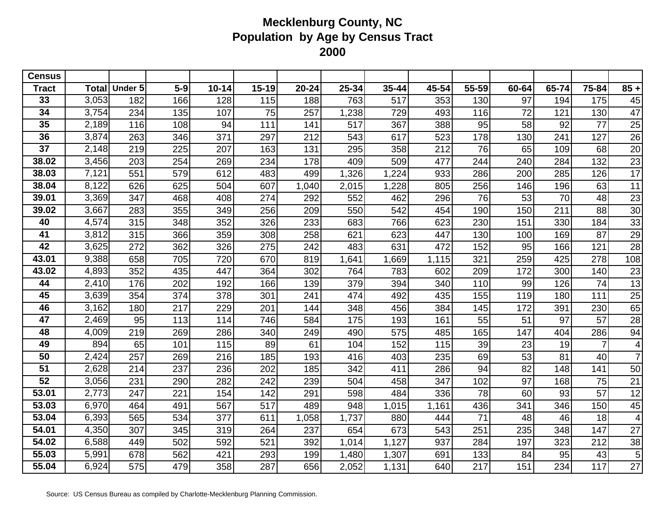| <b>Census</b>   |              |                |       |           |           |           |       |       |       |       |       |       |                |                         |
|-----------------|--------------|----------------|-------|-----------|-----------|-----------|-------|-------|-------|-------|-------|-------|----------------|-------------------------|
| Tract           | <b>Total</b> | <b>Under 5</b> | $5-9$ | $10 - 14$ | $15 - 19$ | $20 - 24$ | 25-34 | 35-44 | 45-54 | 55-59 | 60-64 | 65-74 | 75-84          | $85 +$                  |
| 33              | 3,053        | 182            | 166   | 128       | 115       | 188       | 763   | 517   | 353   | 130   | 97    | 194   | 175            | 45                      |
| 34              | 3,754        | 234            | 135   | 107       | 75        | 257       | 1,238 | 729   | 493   | 116   | 72    | 121   | 130            | 47                      |
| 35              | 2,189        | 116            | 108   | 94        | 111       | 141       | 517   | 367   | 388   | 95    | 58    | 92    | 77             | 25                      |
| 36              | 3,874        | 263            | 346   | 371       | 297       | 212       | 543   | 617   | 523   | 178   | 130   | 241   | 127            | $\overline{26}$         |
| $\overline{37}$ | 2,148        | 219            | 225   | 207       | 163       | 131       | 295   | 358   | 212   | 76    | 65    | 109   | 68             | 20                      |
| 38.02           | 3,456        | 203            | 254   | 269       | 234       | 178       | 409   | 509   | 477   | 244   | 240   | 284   | 132            | 23                      |
| 38.03           | 7,121        | 551            | 579   | 612       | 483       | 499       | 1,326 | 1,224 | 933   | 286   | 200   | 285   | 126            | 17                      |
| 38.04           | 8,122        | 626            | 625   | 504       | 607       | 1,040     | 2,015 | 1,228 | 805   | 256   | 146   | 196   | 63             | 11                      |
| 39.01           | 3,369        | 347            | 468   | 408       | 274       | 292       | 552   | 462   | 296   | 76    | 53    | 70    | 48             | 23                      |
| 39.02           | 3,667        | 283            | 355   | 349       | 256       | 209       | 550   | 542   | 454   | 190   | 150   | 211   | 88             | 30                      |
| 40              | 4,574        | 315            | 348   | 352       | 326       | 233       | 683   | 766   | 623   | 230   | 151   | 330   | 184            | 33                      |
| 41              | 3,812        | 315            | 366   | 359       | 308       | 258       | 621   | 623   | 447   | 130   | 100   | 169   | 87             | 29                      |
| 42              | 3,625        | 272            | 362   | 326       | 275       | 242       | 483   | 631   | 472   | 152   | 95    | 166   | 121            | 28                      |
| 43.01           | 9,388        | 658            | 705   | 720       | 670       | 819       | ,641  | 1,669 | 1,115 | 321   | 259   | 425   | 278            | 108                     |
| 43.02           | 4,893        | 352            | 435   | 447       | 364       | 302       | 764   | 783   | 602   | 209   | 172   | 300   | 140            | 23                      |
| 44              | 2,410        | 176            | 202   | 192       | 166       | 139       | 379   | 394   | 340   | 110   | 99    | 126   | 74             | 13                      |
| 45              | 3,639        | 354            | 374   | 378       | 301       | 241       | 474   | 492   | 435   | 155   | 119   | 180   | 111            | 25                      |
| 46              | 3,162        | 180            | 217   | 229       | 201       | 144       | 348   | 456   | 384   | 145   | 172   | 391   | 230            | 65                      |
| 47              | 2,469        | 95             | 113   | 114       | 746       | 584       | 175   | 193   | 161   | 55    | 51    | 97    | 57             | 28                      |
| 48              | 4,009        | 219            | 269   | 286       | 340       | 249       | 490   | 575   | 485   | 165   | 147   | 404   | 286            | 94                      |
| 49              | 894          | 65             | 101   | 115       | 89        | 61        | 104   | 152   | 115   | 39    | 23    | 19    | $\overline{7}$ | 4                       |
| 50              | 2,424        | 257            | 269   | 216       | 185       | 193       | 416   | 403   | 235   | 69    | 53    | 81    | 40             | $\overline{7}$          |
| 51              | 2,628        | 214            | 237   | 236       | 202       | 185       | 342   | 411   | 286   | 94    | 82    | 148   | 141            | 50                      |
| $\overline{52}$ | 3,056        | 231            | 290   | 282       | 242       | 239       | 504   | 458   | 347   | 102   | 97    | 168   | 75             | 21                      |
| 53.01           | 2,773        | 247            | 221   | 154       | 142       | 291       | 598   | 484   | 336   | 78    | 60    | 93    | 57             | 12                      |
| 53.03           | 6,970        | 464            | 491   | 567       | 517       | 489       | 948   | 1,015 | 1,161 | 436   | 341   | 346   | 150            | 45                      |
| 53.04           | 6,393        | 565            | 534   | 377       | 611       | 1,058     | 1,737 | 880   | 444   | 71    | 48    | 46    | 18             | $\overline{\mathbf{4}}$ |
| 54.01           | 4,350        | 307            | 345   | 319       | 264       | 237       | 654   | 673   | 543   | 251   | 235   | 348   | 147            | 27                      |
| 54.02           | 6,588        | 449            | 502   | 592       | 521       | 392       | 1,014 | 1,127 | 937   | 284   | 197   | 323   | 212            | 38                      |
| 55.03           | 5,991        | 678            | 562   | 421       | 293       | 199       | 1,480 | 1,307 | 691   | 133   | 84    | 95    | 43             | 5                       |
| 55.04           | 6,924        | 575            | 479   | 358       | 287       | 656       | 2,052 | 1,131 | 640   | 217   | 151   | 234   | 117            | 27                      |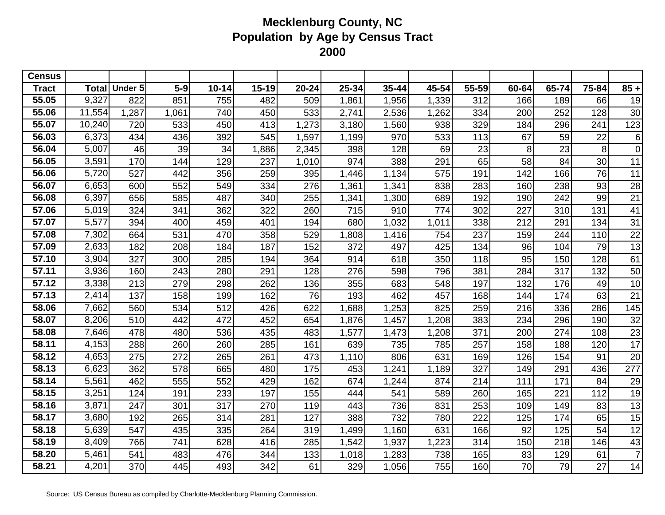| <b>Census</b> |              |         |       |           |           |           |       |       |       |       |       |       |                |                 |
|---------------|--------------|---------|-------|-----------|-----------|-----------|-------|-------|-------|-------|-------|-------|----------------|-----------------|
| <b>Tract</b>  | <b>Total</b> | Under 5 | $5-9$ | $10 - 14$ | $15 - 19$ | $20 - 24$ | 25-34 | 35-44 | 45-54 | 55-59 | 60-64 | 65-74 | 75-84          | $85 +$          |
| 55.05         | 9,327        | 822     | 851   | 755       | 482       | 509       | 1,861 | 1,956 | 1,339 | 312   | 166   | 189   | 66             | 19              |
| 55.06         | 11,554       | 1,287   | 1,061 | 740       | 450       | 533       | 2,741 | 2,536 | 1,262 | 334   | 200   | 252   | 128            | 30              |
| 55.07         | 10,240       | 720     | 533   | 450       | 413       | 1,273     | 3,180 | 1,560 | 938   | 329   | 184   | 296   | 241            | 123             |
| 56.03         | 6,373        | 434     | 436   | 392       | 545       | 1,597     | 1,199 | 970   | 533   | 113   | 67    | 59    | 22             | 6               |
| 56.04         | 5,007        | 46      | 39    | 34        | ,886      | 2,345     | 398   | 128   | 69    | 23    | 8     | 23    | 8 <sup>1</sup> | $\overline{0}$  |
| 56.05         | 3,591        | 170     | 144   | 129       | 237       | 1,010     | 974   | 388   | 291   | 65    | 58    | 84    | 30             | 11              |
| 56.06         | 5,720        | 527     | 442   | 356       | 259       | 395       | 1,446 | 1,134 | 575   | 191   | 142   | 166   | 76             | 11              |
| 56.07         | 6,653        | 600     | 552   | 549       | 334       | 276       | 1,361 | 1,341 | 838   | 283   | 160   | 238   | 93             | 28              |
| 56.08         | 6,397        | 656     | 585   | 487       | 340       | 255       | 1,341 | 1,300 | 689   | 192   | 190   | 242   | 99             | 21              |
| 57.06         | 5,019        | 324     | 341   | 362       | 322       | 260       | 715   | 910   | 774   | 302   | 227   | 310   | 131            | 41              |
| 57.07         | 5,577        | 394     | 400   | 459       | 401       | 194       | 680   | 1,032 | 1,011 | 338   | 212   | 291   | 134            | $\overline{31}$ |
| 57.08         | 7,302        | 664     | 531   | 470       | 358       | 529       | 1,808 | 1,416 | 754   | 237   | 159   | 244   | 110            | 22              |
| 57.09         | 2,633        | 182     | 208   | 184       | 187       | 152       | 372   | 497   | 425   | 134   | 96    | 104   | 79             | 13              |
| 57.10         | 3,904        | 327     | 300   | 285       | 194       | 364       | 914   | 618   | 350   | 118   | 95    | 150   | 128            | 61              |
| 57.11         | 3,936        | 160     | 243   | 280       | 291       | 128       | 276   | 598   | 796   | 381   | 284   | 317   | 132            | 50              |
| 57.12         | 3,338        | 213     | 279   | 298       | 262       | 136       | 355   | 683   | 548   | 197   | 132   | 176   | 49             | 10              |
| 57.13         | 2,414        | 137     | 158   | 199       | 162       | 76        | 193   | 462   | 457   | 168   | 144   | 174   | 63             | 21              |
| 58.06         | 7,662        | 560     | 534   | 512       | 426       | 622       | ,688  | 1,253 | 825   | 259   | 216   | 336   | 286            | 145             |
| 58.07         | 8,206        | 510     | 442   | 472       | 452       | 654       | 1,876 | 1,457 | 1,208 | 383   | 234   | 296   | 190            | 32              |
| 58.08         | 7,646        | 478     | 480   | 536       | 435       | 483       | 1,577 | 1,473 | 1,208 | 371   | 200   | 274   | 108            | 23              |
| 58.11         | 4,153        | 288     | 260   | 260       | 285       | 161       | 639   | 735   | 785   | 257   | 158   | 188   | 120            | 17              |
| 58.12         | 4,653        | 275     | 272   | 265       | 261       | 473       | 1,110 | 806   | 631   | 169   | 126   | 154   | 91             | 20              |
| 58.13         | 6,623        | 362     | 578   | 665       | 480       | 175       | 453   | 1,241 | 1,189 | 327   | 149   | 291   | 436            | 277             |
| 58.14         | 5,561        | 462     | 555   | 552       | 429       | 162       | 674   | 1,244 | 874   | 214   | 111   | 171   | 84             | 29              |
| 58.15         | 3,251        | 124     | 191   | 233       | 197       | 155       | 444   | 541   | 589   | 260   | 165   | 221   | 112            | 19              |
| 58.16         | 3,871        | 247     | 301   | 317       | 270       | 119       | 443   | 736   | 831   | 253   | 109   | 149   | 83             | 13              |
| 58.17         | 3,680        | 192     | 265   | 314       | 281       | 127       | 388   | 732   | 780   | 222   | 125   | 174   | 65             | 15              |
| 58.18         | 5,639        | 547     | 435   | 335       | 264       | 319       | 1,499 | 1,160 | 631   | 166   | 92    | 125   | 54             | 12              |
| 58.19         | 8,409        | 766     | 741   | 628       | 416       | 285       | 1,542 | 1,937 | 1,223 | 314   | 150   | 218   | 146            | 43              |
| 58.20         | 5,461        | 541     | 483   | 476       | 344       | 133       | 1,018 | 1,283 | 738   | 165   | 83    | 129   | 61             | $\overline{7}$  |
| 58.21         | 4,201        | 370     | 445   | 493       | 342       | 61        | 329   | 1,056 | 755   | 160   | 70    | 79    | 27             | 14              |